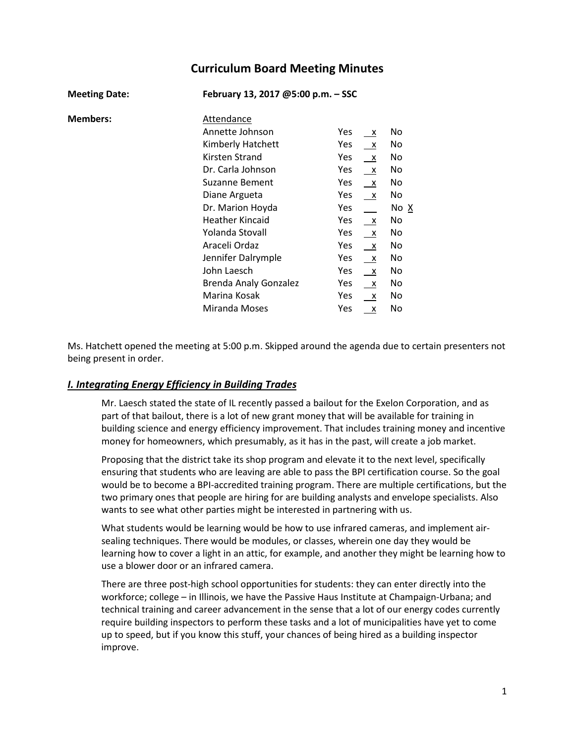# **Curriculum Board Meeting Minutes**

| <b>Meeting Date:</b> | February 13, 2017 @5:00 p.m. - SSC |                     |      |  |  |
|----------------------|------------------------------------|---------------------|------|--|--|
| <b>Members:</b>      | Attendance                         |                     |      |  |  |
|                      | Annette Johnson                    | Yes<br>$\mathsf{X}$ | No   |  |  |
|                      | Kimberly Hatchett                  | Yes<br>$\mathsf{X}$ | No   |  |  |
|                      | Kirsten Strand                     | Yes<br>$\mathsf{X}$ | No   |  |  |
|                      | Dr. Carla Johnson                  | Yes<br>$\mathsf{X}$ | No   |  |  |
|                      | Suzanne Bement                     | Yes<br>$\mathsf{X}$ | No   |  |  |
|                      | Diane Argueta                      | Yes<br>$\mathsf{x}$ | No   |  |  |
|                      | Dr. Marion Hoyda                   | Yes                 | No X |  |  |
|                      | <b>Heather Kincaid</b>             | Yes<br>$\mathsf{X}$ | No   |  |  |
|                      | Yolanda Stovall                    | Yes<br>$\mathsf{X}$ | No   |  |  |
|                      | Araceli Ordaz                      | Yes<br>$\mathsf{X}$ | No   |  |  |
|                      | Jennifer Dalrymple                 | Yes<br>$\mathsf{X}$ | No   |  |  |
|                      | John Laesch                        | Yes<br>$\mathsf{X}$ | No   |  |  |
|                      | <b>Brenda Analy Gonzalez</b>       | Yes<br>$\mathsf{x}$ | No   |  |  |
|                      | Marina Kosak                       | Yes<br>$\mathsf{X}$ | No   |  |  |
|                      | Miranda Moses                      | Yes<br>х            | No   |  |  |

Ms. Hatchett opened the meeting at 5:00 p.m. Skipped around the agenda due to certain presenters not being present in order.

## *I. Integrating Energy Efficiency in Building Trades*

Mr. Laesch stated the state of IL recently passed a bailout for the Exelon Corporation, and as part of that bailout, there is a lot of new grant money that will be available for training in building science and energy efficiency improvement. That includes training money and incentive money for homeowners, which presumably, as it has in the past, will create a job market.

Proposing that the district take its shop program and elevate it to the next level, specifically ensuring that students who are leaving are able to pass the BPI certification course. So the goal would be to become a BPI-accredited training program. There are multiple certifications, but the two primary ones that people are hiring for are building analysts and envelope specialists. Also wants to see what other parties might be interested in partnering with us.

What students would be learning would be how to use infrared cameras, and implement airsealing techniques. There would be modules, or classes, wherein one day they would be learning how to cover a light in an attic, for example, and another they might be learning how to use a blower door or an infrared camera.

There are three post-high school opportunities for students: they can enter directly into the workforce; college – in Illinois, we have the Passive Haus Institute at Champaign-Urbana; and technical training and career advancement in the sense that a lot of our energy codes currently require building inspectors to perform these tasks and a lot of municipalities have yet to come up to speed, but if you know this stuff, your chances of being hired as a building inspector improve.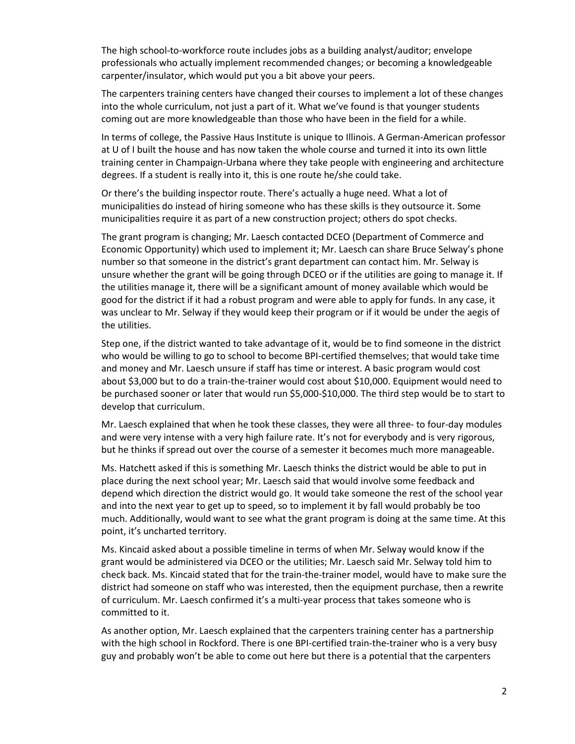The high school-to-workforce route includes jobs as a building analyst/auditor; envelope professionals who actually implement recommended changes; or becoming a knowledgeable carpenter/insulator, which would put you a bit above your peers.

The carpenters training centers have changed their courses to implement a lot of these changes into the whole curriculum, not just a part of it. What we've found is that younger students coming out are more knowledgeable than those who have been in the field for a while.

In terms of college, the Passive Haus Institute is unique to Illinois. A German-American professor at U of I built the house and has now taken the whole course and turned it into its own little training center in Champaign-Urbana where they take people with engineering and architecture degrees. If a student is really into it, this is one route he/she could take.

Or there's the building inspector route. There's actually a huge need. What a lot of municipalities do instead of hiring someone who has these skills is they outsource it. Some municipalities require it as part of a new construction project; others do spot checks.

The grant program is changing; Mr. Laesch contacted DCEO (Department of Commerce and Economic Opportunity) which used to implement it; Mr. Laesch can share Bruce Selway's phone number so that someone in the district's grant department can contact him. Mr. Selway is unsure whether the grant will be going through DCEO or if the utilities are going to manage it. If the utilities manage it, there will be a significant amount of money available which would be good for the district if it had a robust program and were able to apply for funds. In any case, it was unclear to Mr. Selway if they would keep their program or if it would be under the aegis of the utilities.

Step one, if the district wanted to take advantage of it, would be to find someone in the district who would be willing to go to school to become BPI-certified themselves; that would take time and money and Mr. Laesch unsure if staff has time or interest. A basic program would cost about \$3,000 but to do a train-the-trainer would cost about \$10,000. Equipment would need to be purchased sooner or later that would run \$5,000-\$10,000. The third step would be to start to develop that curriculum.

Mr. Laesch explained that when he took these classes, they were all three- to four-day modules and were very intense with a very high failure rate. It's not for everybody and is very rigorous, but he thinks if spread out over the course of a semester it becomes much more manageable.

Ms. Hatchett asked if this is something Mr. Laesch thinks the district would be able to put in place during the next school year; Mr. Laesch said that would involve some feedback and depend which direction the district would go. It would take someone the rest of the school year and into the next year to get up to speed, so to implement it by fall would probably be too much. Additionally, would want to see what the grant program is doing at the same time. At this point, it's uncharted territory.

Ms. Kincaid asked about a possible timeline in terms of when Mr. Selway would know if the grant would be administered via DCEO or the utilities; Mr. Laesch said Mr. Selway told him to check back. Ms. Kincaid stated that for the train-the-trainer model, would have to make sure the district had someone on staff who was interested, then the equipment purchase, then a rewrite of curriculum. Mr. Laesch confirmed it's a multi-year process that takes someone who is committed to it.

As another option, Mr. Laesch explained that the carpenters training center has a partnership with the high school in Rockford. There is one BPI-certified train-the-trainer who is a very busy guy and probably won't be able to come out here but there is a potential that the carpenters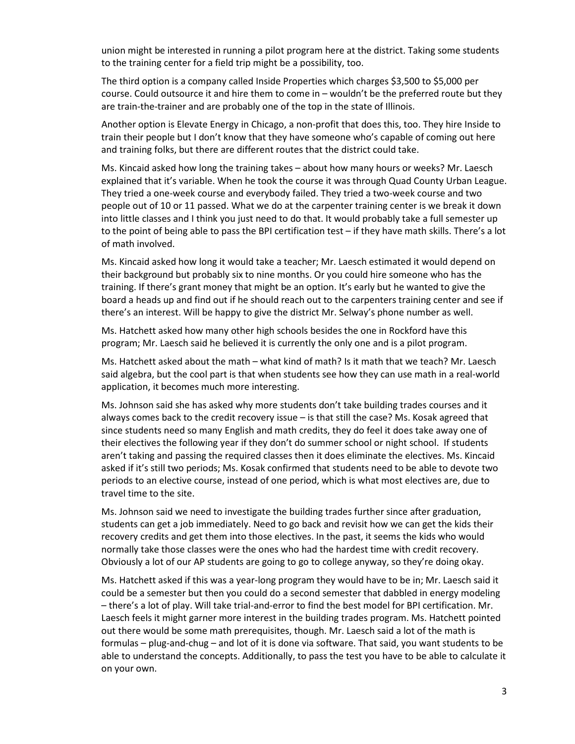union might be interested in running a pilot program here at the district. Taking some students to the training center for a field trip might be a possibility, too.

The third option is a company called Inside Properties which charges \$3,500 to \$5,000 per course. Could outsource it and hire them to come in – wouldn't be the preferred route but they are train-the-trainer and are probably one of the top in the state of Illinois.

Another option is Elevate Energy in Chicago, a non-profit that does this, too. They hire Inside to train their people but I don't know that they have someone who's capable of coming out here and training folks, but there are different routes that the district could take.

Ms. Kincaid asked how long the training takes – about how many hours or weeks? Mr. Laesch explained that it's variable. When he took the course it was through Quad County Urban League. They tried a one-week course and everybody failed. They tried a two-week course and two people out of 10 or 11 passed. What we do at the carpenter training center is we break it down into little classes and I think you just need to do that. It would probably take a full semester up to the point of being able to pass the BPI certification test – if they have math skills. There's a lot of math involved.

Ms. Kincaid asked how long it would take a teacher; Mr. Laesch estimated it would depend on their background but probably six to nine months. Or you could hire someone who has the training. If there's grant money that might be an option. It's early but he wanted to give the board a heads up and find out if he should reach out to the carpenters training center and see if there's an interest. Will be happy to give the district Mr. Selway's phone number as well.

Ms. Hatchett asked how many other high schools besides the one in Rockford have this program; Mr. Laesch said he believed it is currently the only one and is a pilot program.

Ms. Hatchett asked about the math – what kind of math? Is it math that we teach? Mr. Laesch said algebra, but the cool part is that when students see how they can use math in a real-world application, it becomes much more interesting.

Ms. Johnson said she has asked why more students don't take building trades courses and it always comes back to the credit recovery issue – is that still the case? Ms. Kosak agreed that since students need so many English and math credits, they do feel it does take away one of their electives the following year if they don't do summer school or night school. If students aren't taking and passing the required classes then it does eliminate the electives. Ms. Kincaid asked if it's still two periods; Ms. Kosak confirmed that students need to be able to devote two periods to an elective course, instead of one period, which is what most electives are, due to travel time to the site.

Ms. Johnson said we need to investigate the building trades further since after graduation, students can get a job immediately. Need to go back and revisit how we can get the kids their recovery credits and get them into those electives. In the past, it seems the kids who would normally take those classes were the ones who had the hardest time with credit recovery. Obviously a lot of our AP students are going to go to college anyway, so they're doing okay.

Ms. Hatchett asked if this was a year-long program they would have to be in; Mr. Laesch said it could be a semester but then you could do a second semester that dabbled in energy modeling – there's a lot of play. Will take trial-and-error to find the best model for BPI certification. Mr. Laesch feels it might garner more interest in the building trades program. Ms. Hatchett pointed out there would be some math prerequisites, though. Mr. Laesch said a lot of the math is formulas – plug-and-chug – and lot of it is done via software. That said, you want students to be able to understand the concepts. Additionally, to pass the test you have to be able to calculate it on your own.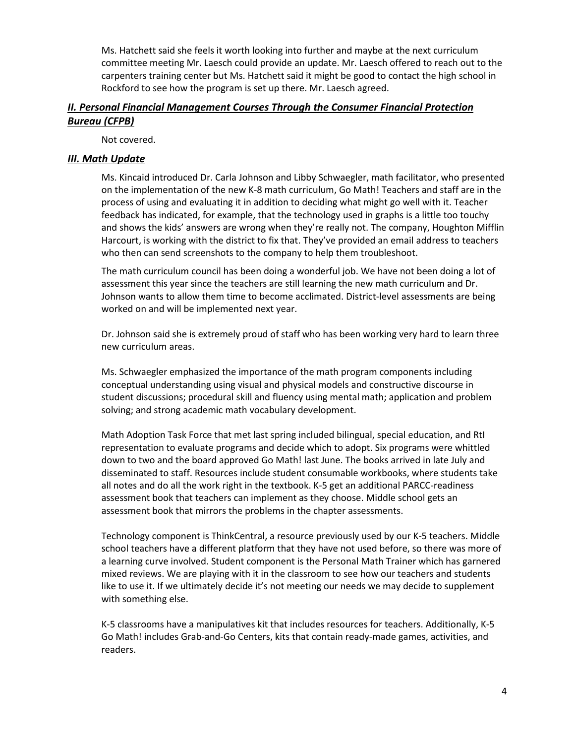Ms. Hatchett said she feels it worth looking into further and maybe at the next curriculum committee meeting Mr. Laesch could provide an update. Mr. Laesch offered to reach out to the carpenters training center but Ms. Hatchett said it might be good to contact the high school in Rockford to see how the program is set up there. Mr. Laesch agreed.

## *II. Personal Financial Management Courses Through the Consumer Financial Protection Bureau (CFPB)*

Not covered.

### *III. Math Update*

Ms. Kincaid introduced Dr. Carla Johnson and Libby Schwaegler, math facilitator, who presented on the implementation of the new K-8 math curriculum, Go Math! Teachers and staff are in the process of using and evaluating it in addition to deciding what might go well with it. Teacher feedback has indicated, for example, that the technology used in graphs is a little too touchy and shows the kids' answers are wrong when they're really not. The company, Houghton Mifflin Harcourt, is working with the district to fix that. They've provided an email address to teachers who then can send screenshots to the company to help them troubleshoot.

The math curriculum council has been doing a wonderful job. We have not been doing a lot of assessment this year since the teachers are still learning the new math curriculum and Dr. Johnson wants to allow them time to become acclimated. District-level assessments are being worked on and will be implemented next year.

Dr. Johnson said she is extremely proud of staff who has been working very hard to learn three new curriculum areas.

Ms. Schwaegler emphasized the importance of the math program components including conceptual understanding using visual and physical models and constructive discourse in student discussions; procedural skill and fluency using mental math; application and problem solving; and strong academic math vocabulary development.

Math Adoption Task Force that met last spring included bilingual, special education, and RtI representation to evaluate programs and decide which to adopt. Six programs were whittled down to two and the board approved Go Math! last June. The books arrived in late July and disseminated to staff. Resources include student consumable workbooks, where students take all notes and do all the work right in the textbook. K-5 get an additional PARCC-readiness assessment book that teachers can implement as they choose. Middle school gets an assessment book that mirrors the problems in the chapter assessments.

Technology component is ThinkCentral, a resource previously used by our K-5 teachers. Middle school teachers have a different platform that they have not used before, so there was more of a learning curve involved. Student component is the Personal Math Trainer which has garnered mixed reviews. We are playing with it in the classroom to see how our teachers and students like to use it. If we ultimately decide it's not meeting our needs we may decide to supplement with something else.

K-5 classrooms have a manipulatives kit that includes resources for teachers. Additionally, K-5 Go Math! includes Grab-and-Go Centers, kits that contain ready-made games, activities, and readers.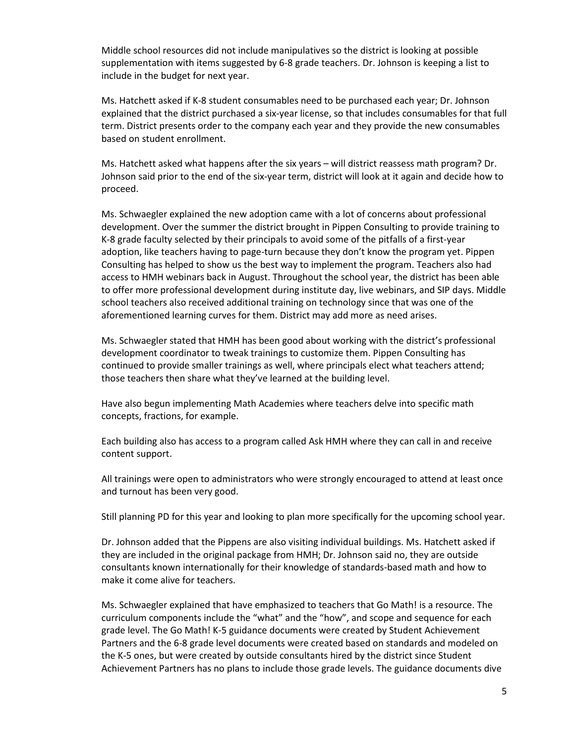Middle school resources did not include manipulatives so the district is looking at possible supplementation with items suggested by 6-8 grade teachers. Dr. Johnson is keeping a list to include in the budget for next year.

Ms. Hatchett asked if K-8 student consumables need to be purchased each year; Dr. Johnson explained that the district purchased a six-year license, so that includes consumables for that full term. District presents order to the company each year and they provide the new consumables based on student enrollment.

Ms. Hatchett asked what happens after the six years – will district reassess math program? Dr. Johnson said prior to the end of the six-year term, district will look at it again and decide how to proceed.

Ms. Schwaegler explained the new adoption came with a lot of concerns about professional development. Over the summer the district brought in Pippen Consulting to provide training to K-8 grade faculty selected by their principals to avoid some of the pitfalls of a first-year adoption, like teachers having to page-turn because they don't know the program yet. Pippen Consulting has helped to show us the best way to implement the program. Teachers also had access to HMH webinars back in August. Throughout the school year, the district has been able to offer more professional development during institute day, live webinars, and SIP days. Middle school teachers also received additional training on technology since that was one of the aforementioned learning curves for them. District may add more as need arises.

Ms. Schwaegler stated that HMH has been good about working with the district's professional development coordinator to tweak trainings to customize them. Pippen Consulting has continued to provide smaller trainings as well, where principals elect what teachers attend; those teachers then share what they've learned at the building level.

Have also begun implementing Math Academies where teachers delve into specific math concepts, fractions, for example.

Each building also has access to a program called Ask HMH where they can call in and receive content support.

All trainings were open to administrators who were strongly encouraged to attend at least once and turnout has been very good.

Still planning PD for this year and looking to plan more specifically for the upcoming school year.

Dr. Johnson added that the Pippens are also visiting individual buildings. Ms. Hatchett asked if they are included in the original package from HMH; Dr. Johnson said no, they are outside consultants known internationally for their knowledge of standards-based math and how to make it come alive for teachers.

Ms. Schwaegler explained that have emphasized to teachers that Go Math! is a resource. The curriculum components include the "what" and the "how", and scope and sequence for each grade level. The Go Math! K-5 guidance documents were created by Student Achievement Partners and the 6-8 grade level documents were created based on standards and modeled on the K-5 ones, but were created by outside consultants hired by the district since Student Achievement Partners has no plans to include those grade levels. The guidance documents dive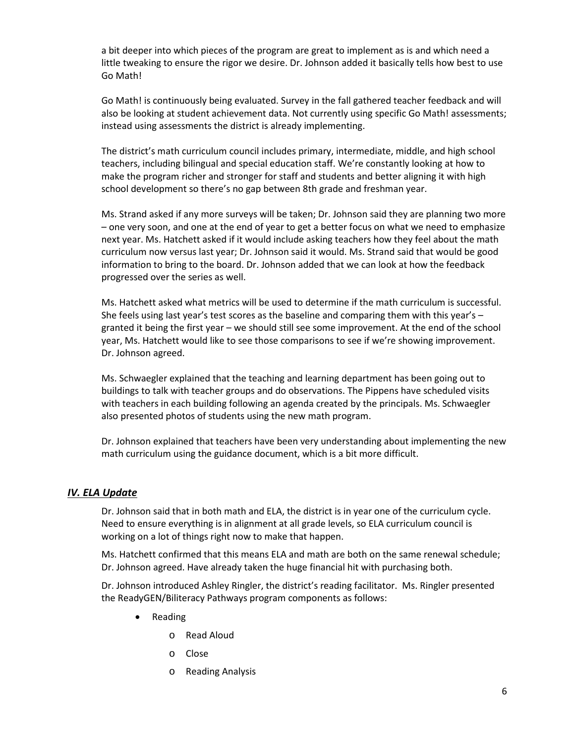a bit deeper into which pieces of the program are great to implement as is and which need a little tweaking to ensure the rigor we desire. Dr. Johnson added it basically tells how best to use Go Math!

Go Math! is continuously being evaluated. Survey in the fall gathered teacher feedback and will also be looking at student achievement data. Not currently using specific Go Math! assessments; instead using assessments the district is already implementing.

The district's math curriculum council includes primary, intermediate, middle, and high school teachers, including bilingual and special education staff. We're constantly looking at how to make the program richer and stronger for staff and students and better aligning it with high school development so there's no gap between 8th grade and freshman year.

Ms. Strand asked if any more surveys will be taken; Dr. Johnson said they are planning two more – one very soon, and one at the end of year to get a better focus on what we need to emphasize next year. Ms. Hatchett asked if it would include asking teachers how they feel about the math curriculum now versus last year; Dr. Johnson said it would. Ms. Strand said that would be good information to bring to the board. Dr. Johnson added that we can look at how the feedback progressed over the series as well.

Ms. Hatchett asked what metrics will be used to determine if the math curriculum is successful. She feels using last year's test scores as the baseline and comparing them with this year's – granted it being the first year – we should still see some improvement. At the end of the school year, Ms. Hatchett would like to see those comparisons to see if we're showing improvement. Dr. Johnson agreed.

Ms. Schwaegler explained that the teaching and learning department has been going out to buildings to talk with teacher groups and do observations. The Pippens have scheduled visits with teachers in each building following an agenda created by the principals. Ms. Schwaegler also presented photos of students using the new math program.

Dr. Johnson explained that teachers have been very understanding about implementing the new math curriculum using the guidance document, which is a bit more difficult.

## *IV. ELA Update*

Dr. Johnson said that in both math and ELA, the district is in year one of the curriculum cycle. Need to ensure everything is in alignment at all grade levels, so ELA curriculum council is working on a lot of things right now to make that happen.

Ms. Hatchett confirmed that this means ELA and math are both on the same renewal schedule; Dr. Johnson agreed. Have already taken the huge financial hit with purchasing both.

Dr. Johnson introduced Ashley Ringler, the district's reading facilitator. Ms. Ringler presented the ReadyGEN/Biliteracy Pathways program components as follows:

- Reading
	- o Read Aloud
	- o Close
	- o Reading Analysis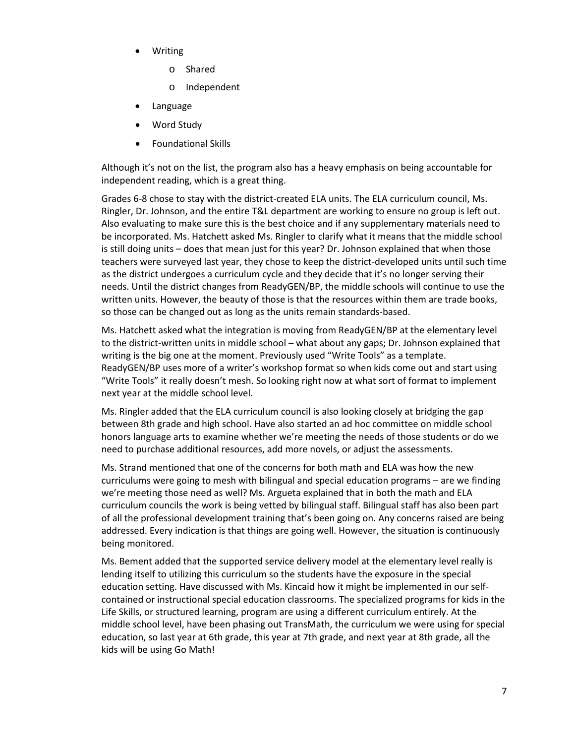- Writing
	- o Shared
	- o Independent
- **Language**
- Word Study
- Foundational Skills

Although it's not on the list, the program also has a heavy emphasis on being accountable for independent reading, which is a great thing.

Grades 6-8 chose to stay with the district-created ELA units. The ELA curriculum council, Ms. Ringler, Dr. Johnson, and the entire T&L department are working to ensure no group is left out. Also evaluating to make sure this is the best choice and if any supplementary materials need to be incorporated. Ms. Hatchett asked Ms. Ringler to clarify what it means that the middle school is still doing units – does that mean just for this year? Dr. Johnson explained that when those teachers were surveyed last year, they chose to keep the district-developed units until such time as the district undergoes a curriculum cycle and they decide that it's no longer serving their needs. Until the district changes from ReadyGEN/BP, the middle schools will continue to use the written units. However, the beauty of those is that the resources within them are trade books, so those can be changed out as long as the units remain standards-based.

Ms. Hatchett asked what the integration is moving from ReadyGEN/BP at the elementary level to the district-written units in middle school – what about any gaps; Dr. Johnson explained that writing is the big one at the moment. Previously used "Write Tools" as a template. ReadyGEN/BP uses more of a writer's workshop format so when kids come out and start using "Write Tools" it really doesn't mesh. So looking right now at what sort of format to implement next year at the middle school level.

Ms. Ringler added that the ELA curriculum council is also looking closely at bridging the gap between 8th grade and high school. Have also started an ad hoc committee on middle school honors language arts to examine whether we're meeting the needs of those students or do we need to purchase additional resources, add more novels, or adjust the assessments.

Ms. Strand mentioned that one of the concerns for both math and ELA was how the new curriculums were going to mesh with bilingual and special education programs – are we finding we're meeting those need as well? Ms. Argueta explained that in both the math and ELA curriculum councils the work is being vetted by bilingual staff. Bilingual staff has also been part of all the professional development training that's been going on. Any concerns raised are being addressed. Every indication is that things are going well. However, the situation is continuously being monitored.

Ms. Bement added that the supported service delivery model at the elementary level really is lending itself to utilizing this curriculum so the students have the exposure in the special education setting. Have discussed with Ms. Kincaid how it might be implemented in our selfcontained or instructional special education classrooms. The specialized programs for kids in the Life Skills, or structured learning, program are using a different curriculum entirely. At the middle school level, have been phasing out TransMath, the curriculum we were using for special education, so last year at 6th grade, this year at 7th grade, and next year at 8th grade, all the kids will be using Go Math!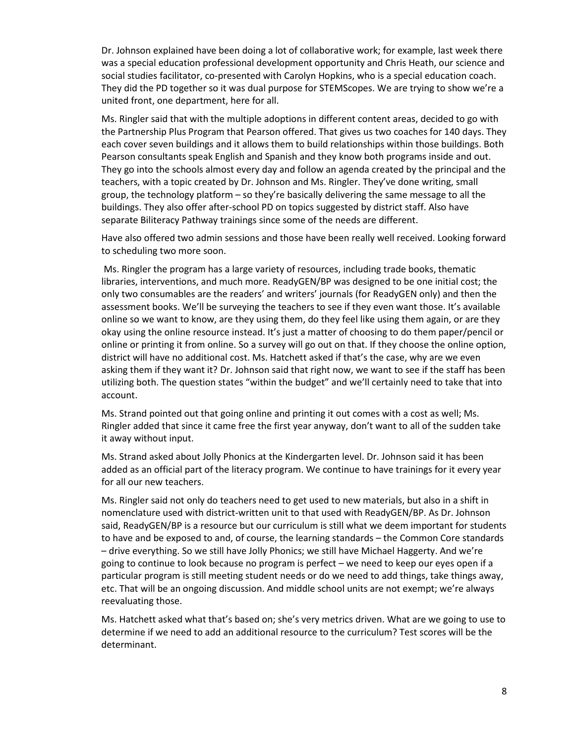Dr. Johnson explained have been doing a lot of collaborative work; for example, last week there was a special education professional development opportunity and Chris Heath, our science and social studies facilitator, co-presented with Carolyn Hopkins, who is a special education coach. They did the PD together so it was dual purpose for STEMScopes. We are trying to show we're a united front, one department, here for all.

Ms. Ringler said that with the multiple adoptions in different content areas, decided to go with the Partnership Plus Program that Pearson offered. That gives us two coaches for 140 days. They each cover seven buildings and it allows them to build relationships within those buildings. Both Pearson consultants speak English and Spanish and they know both programs inside and out. They go into the schools almost every day and follow an agenda created by the principal and the teachers, with a topic created by Dr. Johnson and Ms. Ringler. They've done writing, small group, the technology platform – so they're basically delivering the same message to all the buildings. They also offer after-school PD on topics suggested by district staff. Also have separate Biliteracy Pathway trainings since some of the needs are different.

Have also offered two admin sessions and those have been really well received. Looking forward to scheduling two more soon.

Ms. Ringler the program has a large variety of resources, including trade books, thematic libraries, interventions, and much more. ReadyGEN/BP was designed to be one initial cost; the only two consumables are the readers' and writers' journals (for ReadyGEN only) and then the assessment books. We'll be surveying the teachers to see if they even want those. It's available online so we want to know, are they using them, do they feel like using them again, or are they okay using the online resource instead. It's just a matter of choosing to do them paper/pencil or online or printing it from online. So a survey will go out on that. If they choose the online option, district will have no additional cost. Ms. Hatchett asked if that's the case, why are we even asking them if they want it? Dr. Johnson said that right now, we want to see if the staff has been utilizing both. The question states "within the budget" and we'll certainly need to take that into account.

Ms. Strand pointed out that going online and printing it out comes with a cost as well; Ms. Ringler added that since it came free the first year anyway, don't want to all of the sudden take it away without input.

Ms. Strand asked about Jolly Phonics at the Kindergarten level. Dr. Johnson said it has been added as an official part of the literacy program. We continue to have trainings for it every year for all our new teachers.

Ms. Ringler said not only do teachers need to get used to new materials, but also in a shift in nomenclature used with district-written unit to that used with ReadyGEN/BP. As Dr. Johnson said, ReadyGEN/BP is a resource but our curriculum is still what we deem important for students to have and be exposed to and, of course, the learning standards – the Common Core standards – drive everything. So we still have Jolly Phonics; we still have Michael Haggerty. And we're going to continue to look because no program is perfect – we need to keep our eyes open if a particular program is still meeting student needs or do we need to add things, take things away, etc. That will be an ongoing discussion. And middle school units are not exempt; we're always reevaluating those.

Ms. Hatchett asked what that's based on; she's very metrics driven. What are we going to use to determine if we need to add an additional resource to the curriculum? Test scores will be the determinant.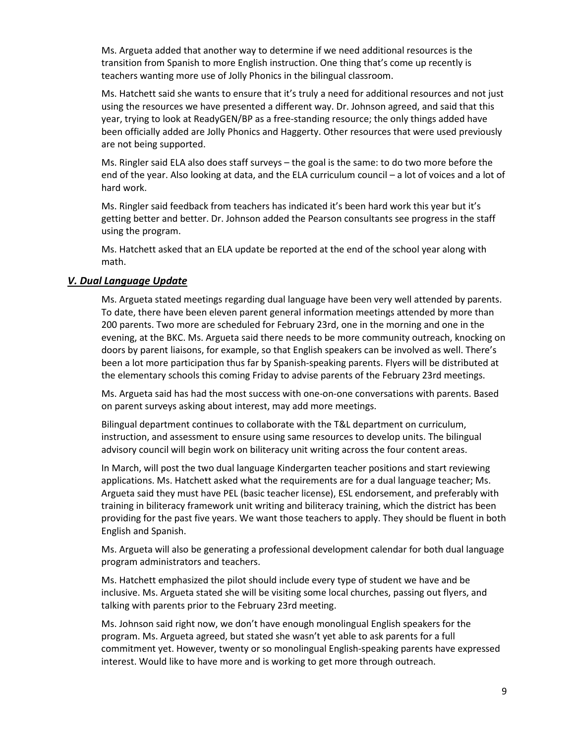Ms. Argueta added that another way to determine if we need additional resources is the transition from Spanish to more English instruction. One thing that's come up recently is teachers wanting more use of Jolly Phonics in the bilingual classroom.

Ms. Hatchett said she wants to ensure that it's truly a need for additional resources and not just using the resources we have presented a different way. Dr. Johnson agreed, and said that this year, trying to look at ReadyGEN/BP as a free-standing resource; the only things added have been officially added are Jolly Phonics and Haggerty. Other resources that were used previously are not being supported.

Ms. Ringler said ELA also does staff surveys – the goal is the same: to do two more before the end of the year. Also looking at data, and the ELA curriculum council – a lot of voices and a lot of hard work.

Ms. Ringler said feedback from teachers has indicated it's been hard work this year but it's getting better and better. Dr. Johnson added the Pearson consultants see progress in the staff using the program.

Ms. Hatchett asked that an ELA update be reported at the end of the school year along with math.

#### *V. Dual Language Update*

Ms. Argueta stated meetings regarding dual language have been very well attended by parents. To date, there have been eleven parent general information meetings attended by more than 200 parents. Two more are scheduled for February 23rd, one in the morning and one in the evening, at the BKC. Ms. Argueta said there needs to be more community outreach, knocking on doors by parent liaisons, for example, so that English speakers can be involved as well. There's been a lot more participation thus far by Spanish-speaking parents. Flyers will be distributed at the elementary schools this coming Friday to advise parents of the February 23rd meetings.

Ms. Argueta said has had the most success with one-on-one conversations with parents. Based on parent surveys asking about interest, may add more meetings.

Bilingual department continues to collaborate with the T&L department on curriculum, instruction, and assessment to ensure using same resources to develop units. The bilingual advisory council will begin work on biliteracy unit writing across the four content areas.

In March, will post the two dual language Kindergarten teacher positions and start reviewing applications. Ms. Hatchett asked what the requirements are for a dual language teacher; Ms. Argueta said they must have PEL (basic teacher license), ESL endorsement, and preferably with training in biliteracy framework unit writing and biliteracy training, which the district has been providing for the past five years. We want those teachers to apply. They should be fluent in both English and Spanish.

Ms. Argueta will also be generating a professional development calendar for both dual language program administrators and teachers.

Ms. Hatchett emphasized the pilot should include every type of student we have and be inclusive. Ms. Argueta stated she will be visiting some local churches, passing out flyers, and talking with parents prior to the February 23rd meeting.

Ms. Johnson said right now, we don't have enough monolingual English speakers for the program. Ms. Argueta agreed, but stated she wasn't yet able to ask parents for a full commitment yet. However, twenty or so monolingual English-speaking parents have expressed interest. Would like to have more and is working to get more through outreach.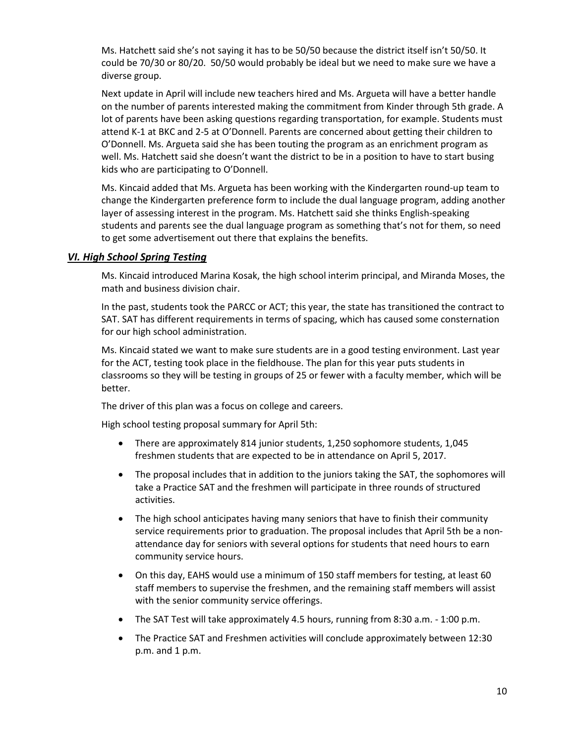Ms. Hatchett said she's not saying it has to be 50/50 because the district itself isn't 50/50. It could be 70/30 or 80/20. 50/50 would probably be ideal but we need to make sure we have a diverse group.

Next update in April will include new teachers hired and Ms. Argueta will have a better handle on the number of parents interested making the commitment from Kinder through 5th grade. A lot of parents have been asking questions regarding transportation, for example. Students must attend K-1 at BKC and 2-5 at O'Donnell. Parents are concerned about getting their children to O'Donnell. Ms. Argueta said she has been touting the program as an enrichment program as well. Ms. Hatchett said she doesn't want the district to be in a position to have to start busing kids who are participating to O'Donnell.

Ms. Kincaid added that Ms. Argueta has been working with the Kindergarten round-up team to change the Kindergarten preference form to include the dual language program, adding another layer of assessing interest in the program. Ms. Hatchett said she thinks English-speaking students and parents see the dual language program as something that's not for them, so need to get some advertisement out there that explains the benefits.

#### *VI. High School Spring Testing*

Ms. Kincaid introduced Marina Kosak, the high school interim principal, and Miranda Moses, the math and business division chair.

In the past, students took the PARCC or ACT; this year, the state has transitioned the contract to SAT. SAT has different requirements in terms of spacing, which has caused some consternation for our high school administration.

Ms. Kincaid stated we want to make sure students are in a good testing environment. Last year for the ACT, testing took place in the fieldhouse. The plan for this year puts students in classrooms so they will be testing in groups of 25 or fewer with a faculty member, which will be better.

The driver of this plan was a focus on college and careers.

High school testing proposal summary for April 5th:

- There are approximately 814 junior students, 1,250 sophomore students, 1,045 freshmen students that are expected to be in attendance on April 5, 2017.
- The proposal includes that in addition to the juniors taking the SAT, the sophomores will take a Practice SAT and the freshmen will participate in three rounds of structured activities.
- The high school anticipates having many seniors that have to finish their community service requirements prior to graduation. The proposal includes that April 5th be a nonattendance day for seniors with several options for students that need hours to earn community service hours.
- On this day, EAHS would use a minimum of 150 staff members for testing, at least 60 staff members to supervise the freshmen, and the remaining staff members will assist with the senior community service offerings.
- The SAT Test will take approximately 4.5 hours, running from 8:30 a.m. 1:00 p.m.
- The Practice SAT and Freshmen activities will conclude approximately between 12:30 p.m. and 1 p.m.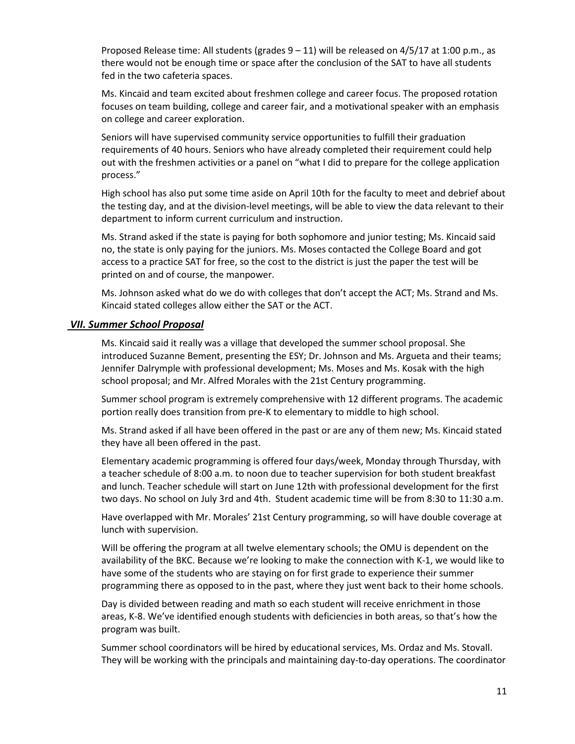Proposed Release time: All students (grades  $9 - 11$ ) will be released on  $4/5/17$  at 1:00 p.m., as there would not be enough time or space after the conclusion of the SAT to have all students fed in the two cafeteria spaces.

Ms. Kincaid and team excited about freshmen college and career focus. The proposed rotation focuses on team building, college and career fair, and a motivational speaker with an emphasis on college and career exploration.

Seniors will have supervised community service opportunities to fulfill their graduation requirements of 40 hours. Seniors who have already completed their requirement could help out with the freshmen activities or a panel on "what I did to prepare for the college application process."

High school has also put some time aside on April 10th for the faculty to meet and debrief about the testing day, and at the division-level meetings, will be able to view the data relevant to their department to inform current curriculum and instruction.

Ms. Strand asked if the state is paying for both sophomore and junior testing; Ms. Kincaid said no, the state is only paying for the juniors. Ms. Moses contacted the College Board and got access to a practice SAT for free, so the cost to the district is just the paper the test will be printed on and of course, the manpower.

Ms. Johnson asked what do we do with colleges that don't accept the ACT; Ms. Strand and Ms. Kincaid stated colleges allow either the SAT or the ACT.

#### *VII. Summer School Proposal*

Ms. Kincaid said it really was a village that developed the summer school proposal. She introduced Suzanne Bement, presenting the ESY; Dr. Johnson and Ms. Argueta and their teams; Jennifer Dalrymple with professional development; Ms. Moses and Ms. Kosak with the high school proposal; and Mr. Alfred Morales with the 21st Century programming.

Summer school program is extremely comprehensive with 12 different programs. The academic portion really does transition from pre-K to elementary to middle to high school.

Ms. Strand asked if all have been offered in the past or are any of them new; Ms. Kincaid stated they have all been offered in the past.

Elementary academic programming is offered four days/week, Monday through Thursday, with a teacher schedule of 8:00 a.m. to noon due to teacher supervision for both student breakfast and lunch. Teacher schedule will start on June 12th with professional development for the first two days. No school on July 3rd and 4th. Student academic time will be from 8:30 to 11:30 a.m.

Have overlapped with Mr. Morales' 21st Century programming, so will have double coverage at lunch with supervision.

Will be offering the program at all twelve elementary schools; the OMU is dependent on the availability of the BKC. Because we're looking to make the connection with K-1, we would like to have some of the students who are staying on for first grade to experience their summer programming there as opposed to in the past, where they just went back to their home schools.

Day is divided between reading and math so each student will receive enrichment in those areas, K-8. We've identified enough students with deficiencies in both areas, so that's how the program was built.

Summer school coordinators will be hired by educational services, Ms. Ordaz and Ms. Stovall. They will be working with the principals and maintaining day-to-day operations. The coordinator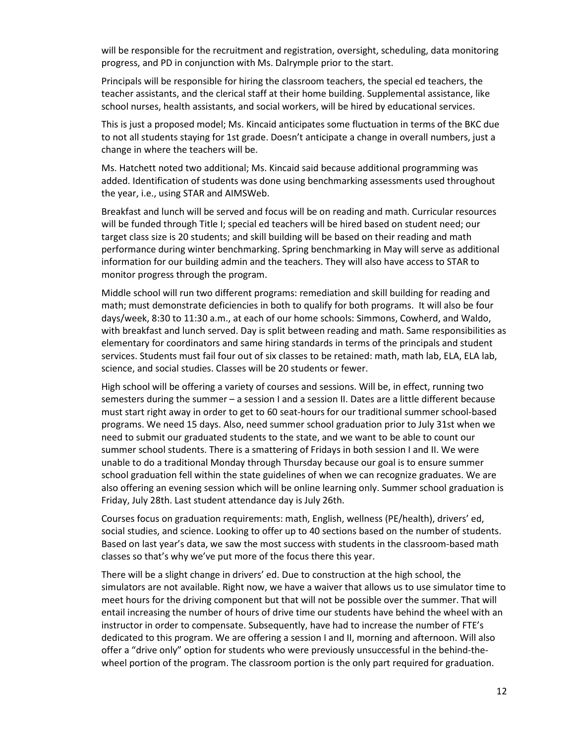will be responsible for the recruitment and registration, oversight, scheduling, data monitoring progress, and PD in conjunction with Ms. Dalrymple prior to the start.

Principals will be responsible for hiring the classroom teachers, the special ed teachers, the teacher assistants, and the clerical staff at their home building. Supplemental assistance, like school nurses, health assistants, and social workers, will be hired by educational services.

This is just a proposed model; Ms. Kincaid anticipates some fluctuation in terms of the BKC due to not all students staying for 1st grade. Doesn't anticipate a change in overall numbers, just a change in where the teachers will be.

Ms. Hatchett noted two additional; Ms. Kincaid said because additional programming was added. Identification of students was done using benchmarking assessments used throughout the year, i.e., using STAR and AIMSWeb.

Breakfast and lunch will be served and focus will be on reading and math. Curricular resources will be funded through Title I; special ed teachers will be hired based on student need; our target class size is 20 students; and skill building will be based on their reading and math performance during winter benchmarking. Spring benchmarking in May will serve as additional information for our building admin and the teachers. They will also have access to STAR to monitor progress through the program.

Middle school will run two different programs: remediation and skill building for reading and math; must demonstrate deficiencies in both to qualify for both programs. It will also be four days/week, 8:30 to 11:30 a.m., at each of our home schools: Simmons, Cowherd, and Waldo, with breakfast and lunch served. Day is split between reading and math. Same responsibilities as elementary for coordinators and same hiring standards in terms of the principals and student services. Students must fail four out of six classes to be retained: math, math lab, ELA, ELA lab, science, and social studies. Classes will be 20 students or fewer.

High school will be offering a variety of courses and sessions. Will be, in effect, running two semesters during the summer – a session I and a session II. Dates are a little different because must start right away in order to get to 60 seat-hours for our traditional summer school-based programs. We need 15 days. Also, need summer school graduation prior to July 31st when we need to submit our graduated students to the state, and we want to be able to count our summer school students. There is a smattering of Fridays in both session I and II. We were unable to do a traditional Monday through Thursday because our goal is to ensure summer school graduation fell within the state guidelines of when we can recognize graduates. We are also offering an evening session which will be online learning only. Summer school graduation is Friday, July 28th. Last student attendance day is July 26th.

Courses focus on graduation requirements: math, English, wellness (PE/health), drivers' ed, social studies, and science. Looking to offer up to 40 sections based on the number of students. Based on last year's data, we saw the most success with students in the classroom-based math classes so that's why we've put more of the focus there this year.

There will be a slight change in drivers' ed. Due to construction at the high school, the simulators are not available. Right now, we have a waiver that allows us to use simulator time to meet hours for the driving component but that will not be possible over the summer. That will entail increasing the number of hours of drive time our students have behind the wheel with an instructor in order to compensate. Subsequently, have had to increase the number of FTE's dedicated to this program. We are offering a session I and II, morning and afternoon. Will also offer a "drive only" option for students who were previously unsuccessful in the behind-thewheel portion of the program. The classroom portion is the only part required for graduation.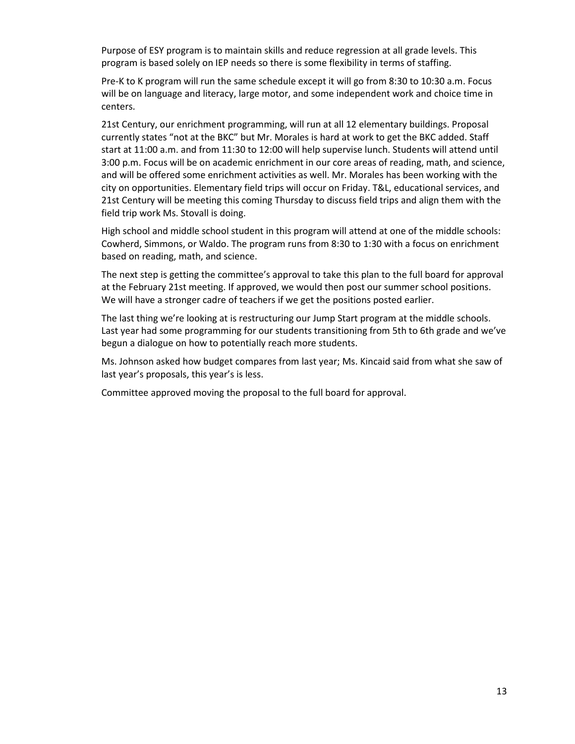Purpose of ESY program is to maintain skills and reduce regression at all grade levels. This program is based solely on IEP needs so there is some flexibility in terms of staffing.

Pre-K to K program will run the same schedule except it will go from 8:30 to 10:30 a.m. Focus will be on language and literacy, large motor, and some independent work and choice time in centers.

21st Century, our enrichment programming, will run at all 12 elementary buildings. Proposal currently states "not at the BKC" but Mr. Morales is hard at work to get the BKC added. Staff start at 11:00 a.m. and from 11:30 to 12:00 will help supervise lunch. Students will attend until 3:00 p.m. Focus will be on academic enrichment in our core areas of reading, math, and science, and will be offered some enrichment activities as well. Mr. Morales has been working with the city on opportunities. Elementary field trips will occur on Friday. T&L, educational services, and 21st Century will be meeting this coming Thursday to discuss field trips and align them with the field trip work Ms. Stovall is doing.

High school and middle school student in this program will attend at one of the middle schools: Cowherd, Simmons, or Waldo. The program runs from 8:30 to 1:30 with a focus on enrichment based on reading, math, and science.

The next step is getting the committee's approval to take this plan to the full board for approval at the February 21st meeting. If approved, we would then post our summer school positions. We will have a stronger cadre of teachers if we get the positions posted earlier.

The last thing we're looking at is restructuring our Jump Start program at the middle schools. Last year had some programming for our students transitioning from 5th to 6th grade and we've begun a dialogue on how to potentially reach more students.

Ms. Johnson asked how budget compares from last year; Ms. Kincaid said from what she saw of last year's proposals, this year's is less.

Committee approved moving the proposal to the full board for approval.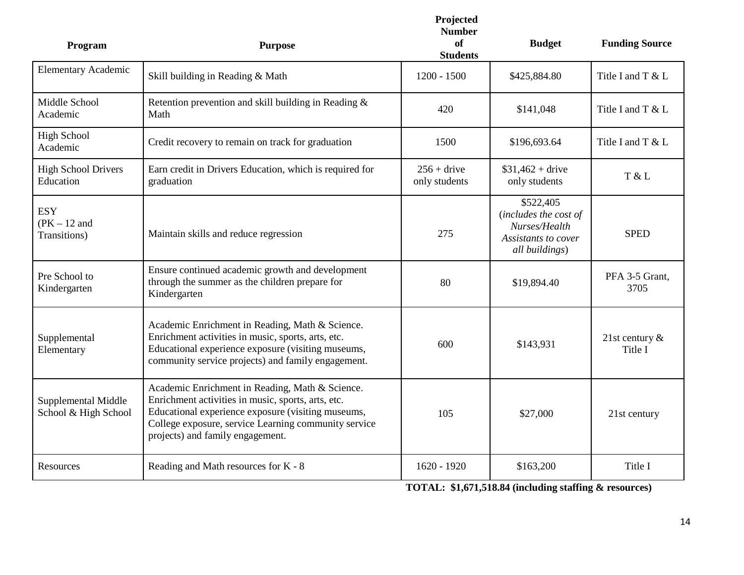| Program                                      | <b>Purpose</b>                                                                                                                                                                                                                                          | Projected<br><b>Number</b><br>of<br><b>Students</b> | <b>Budget</b>                                                                                | <b>Funding Source</b>        |
|----------------------------------------------|---------------------------------------------------------------------------------------------------------------------------------------------------------------------------------------------------------------------------------------------------------|-----------------------------------------------------|----------------------------------------------------------------------------------------------|------------------------------|
| <b>Elementary Academic</b>                   | Skill building in Reading & Math                                                                                                                                                                                                                        | $1200 - 1500$                                       | \$425,884.80                                                                                 | Title I and T & L            |
| Middle School<br>Academic                    | Retention prevention and skill building in Reading &<br>Math                                                                                                                                                                                            | 420                                                 | \$141,048                                                                                    | Title I and T & L            |
| <b>High School</b><br>Academic               | Credit recovery to remain on track for graduation                                                                                                                                                                                                       | 1500                                                | \$196,693.64                                                                                 | Title I and T & L            |
| <b>High School Drivers</b><br>Education      | Earn credit in Drivers Education, which is required for<br>graduation                                                                                                                                                                                   | $256 +$ drive<br>only students                      | $$31,462 + drive$<br>only students                                                           | T & L                        |
| <b>ESY</b><br>$(PK - 12$ and<br>Transitions) | Maintain skills and reduce regression                                                                                                                                                                                                                   | 275                                                 | \$522,405<br>(includes the cost of<br>Nurses/Health<br>Assistants to cover<br>all buildings) | <b>SPED</b>                  |
| Pre School to<br>Kindergarten                | Ensure continued academic growth and development<br>through the summer as the children prepare for<br>Kindergarten                                                                                                                                      | 80                                                  | \$19,894.40                                                                                  | PFA 3-5 Grant,<br>3705       |
| Supplemental<br>Elementary                   | Academic Enrichment in Reading, Math & Science.<br>Enrichment activities in music, sports, arts, etc.<br>Educational experience exposure (visiting museums,<br>community service projects) and family engagement.                                       | 600                                                 | \$143,931                                                                                    | 21st century $\&$<br>Title I |
| Supplemental Middle<br>School & High School  | Academic Enrichment in Reading, Math & Science.<br>Enrichment activities in music, sports, arts, etc.<br>Educational experience exposure (visiting museums,<br>College exposure, service Learning community service<br>projects) and family engagement. | 105                                                 | \$27,000                                                                                     | 21st century                 |
| Resources                                    | Reading and Math resources for K - 8                                                                                                                                                                                                                    | $1620 - 1920$                                       | \$163,200                                                                                    | Title I                      |

**TOTAL: \$1,671,518.84 (including staffing & resources)**